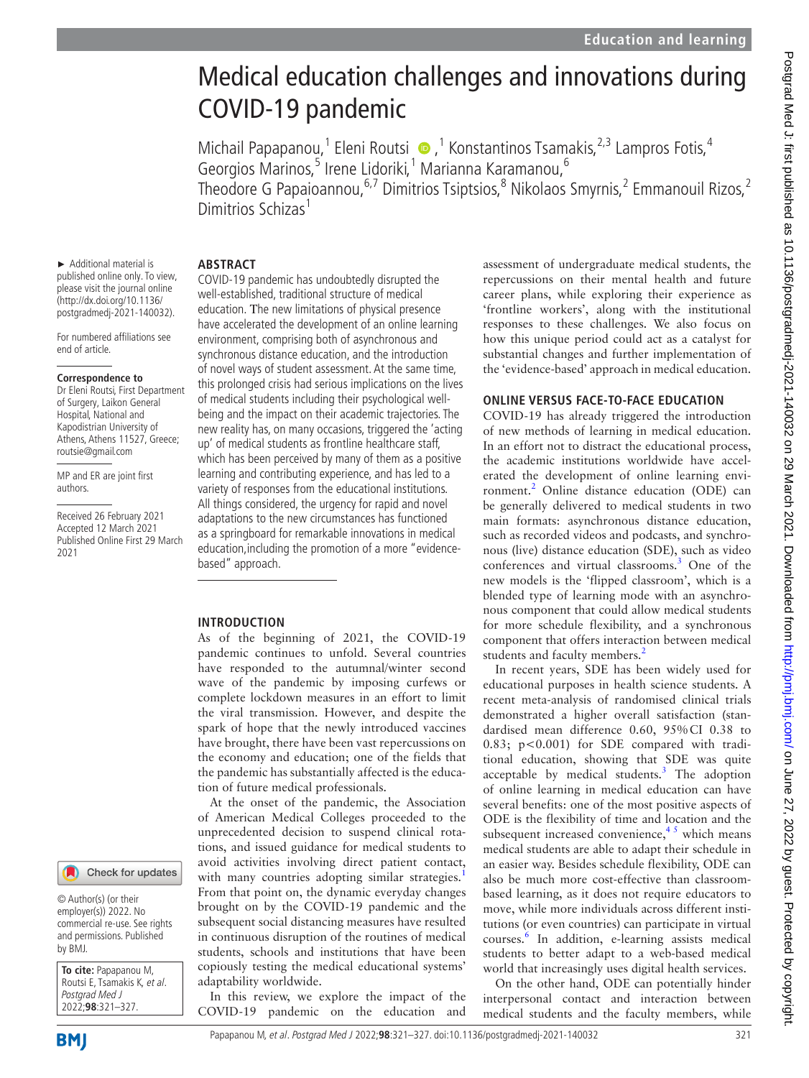# Medical education challenges and innovations during COVID-19 pandemic

MichailPapapanou,<sup>1</sup> Eleni Routsi (D, <sup>1</sup> Konstantinos Tsamakis, <sup>2,3</sup> Lampros Fotis, <sup>4</sup> Georgios Marinos,<sup>5</sup> Irene Lidoriki,<sup>1</sup> Marianna Karamanou,<sup>6</sup> Theodore G Papaioannou,<sup>6,7</sup> Dimitrios Tsiptsios,<sup>8</sup> Nikolaos Smyrnis,<sup>2</sup> Emmanouil Rizos,<sup>2</sup>

Dimitrios Schizas<sup>1</sup>

#### **ABSTRACT**

► Additional material is published online only. To view, please visit the journal online (http://dx.doi.org/10.1136/ postgradmedj-2021-140032).

For numbered affiliations see end of article.

#### **Correspondence to**

Dr Eleni Routsi, First Department of Surgery, Laikon General Hospital, National and Kapodistrian University of Athens, Athens 11527, Greece; routsie@gmail.com

MP and ER are joint first authors.

Received 26 February 2021 Accepted 12 March 2021 Published Online First 29 March 2021

COVID-19 pandemic has undoubtedly disrupted the well-established, traditional structure of medical education. Τhe new limitations of physical presence have accelerated the development of an online learning environment, comprising both of asynchronous and synchronous distance education, and the introduction of novel ways of student assessment. At the same time, this prolonged crisis had serious implications on the lives of medical students including their psychological wellbeing and the impact on their academic trajectories. The new reality has, on many occasions, triggered the 'acting up' of medical students as frontline healthcare staff, which has been perceived by many of them as a positive learning and contributing experience, and has led to a variety of responses from the educational institutions. All things considered, the urgency for rapid and novel adaptations to the new circumstances has functioned as a springboard for remarkable innovations in medical education,including the promotion of a more "evidencebased" approach.

### **INTRODUCTION**

As of the beginning of 2021, the COVID-19 pandemic continues to unfold. Several countries have responded to the autumnal/winter second wave of the pandemic by imposing curfews or complete lockdown measures in an effort to limit the viral transmission. However, and despite the spark of hope that the newly introduced vaccines have brought, there have been vast repercussions on the economy and education; one of the fields that the pandemic has substantially affected is the education of future medical professionals.

At the onset of the pandemic, the Association of American Medical Colleges proceeded to the unprecedented decision to suspend clinical rotations, and issued guidance for medical students to avoid activities involving direct patient contact, with many countries adopting similar strategies.<sup>[1](#page-5-0)</sup> From that point on, the dynamic everyday changes brought on by the COVID-19 pandemic and the subsequent social distancing measures have resulted in continuous disruption of the routines of medical students, schools and institutions that have been copiously testing the medical educational systems' adaptability worldwide.

In this review, we explore the impact of the COVID-19 pandemic on the education and assessment of undergraduate medical students, the repercussions on their mental health and future career plans, while exploring their experience as 'frontline workers', along with the institutional responses to these challenges. We also focus on how this unique period could act as a catalyst for substantial changes and further implementation of the 'evidence-based' approach in medical education.

#### **ONLINE VERSUS FACE-TO-FACE EDUCATION**

COVID-19 has already triggered the introduction of new methods of learning in medical education. In an effort not to distract the educational process, the academic institutions worldwide have accelerated the development of online learning envi-ronment.<sup>[2](#page-5-1)</sup> Online distance education (ODE) can be generally delivered to medical students in two main formats: asynchronous distance education, such as recorded videos and podcasts, and synchronous (live) distance education (SDE), such as video conferences and virtual classrooms.[3](#page-5-2) One of the new models is the 'flipped classroom', which is a blended type of learning mode with an asynchronous component that could allow medical students for more schedule flexibility, and a synchronous component that offers interaction between medical students and faculty members.<sup>2</sup>

In recent years, SDE has been widely used for educational purposes in health science students. A recent meta-analysis of randomised clinical trials demonstrated a higher overall satisfaction (standardised mean difference 0.60, 95%CI 0.38 to 0.83; p<0.001) for SDE compared with traditional education, showing that SDE was quite acceptable by medical students.<sup>[3](#page-5-2)</sup> The adoption of online learning in medical education can have several benefits: one of the most positive aspects of ODE is the flexibility of time and location and the subsequent increased convenience,  $4<sup>5</sup>$  which means medical students are able to adapt their schedule in an easier way. Besides schedule flexibility, ODE can also be much more cost-effective than classroombased learning, as it does not require educators to move, while more individuals across different institutions (or even countries) can participate in virtual courses[.6](#page-5-4) In addition, e-learning assists medical students to better adapt to a web-based medical world that increasingly uses digital health services.

On the other hand, ODE can potentially hinder interpersonal contact and interaction between medical students and the faculty members, while

© Author(s) (or their

Check for updates

employer(s)) 2022. No commercial re-use. See rights and permissions. Published by BMJ.

**To cite:** Papapanou M, Routsi E, Tsamakis K, et al. Postgrad Med J 2022;**98**:321–327.

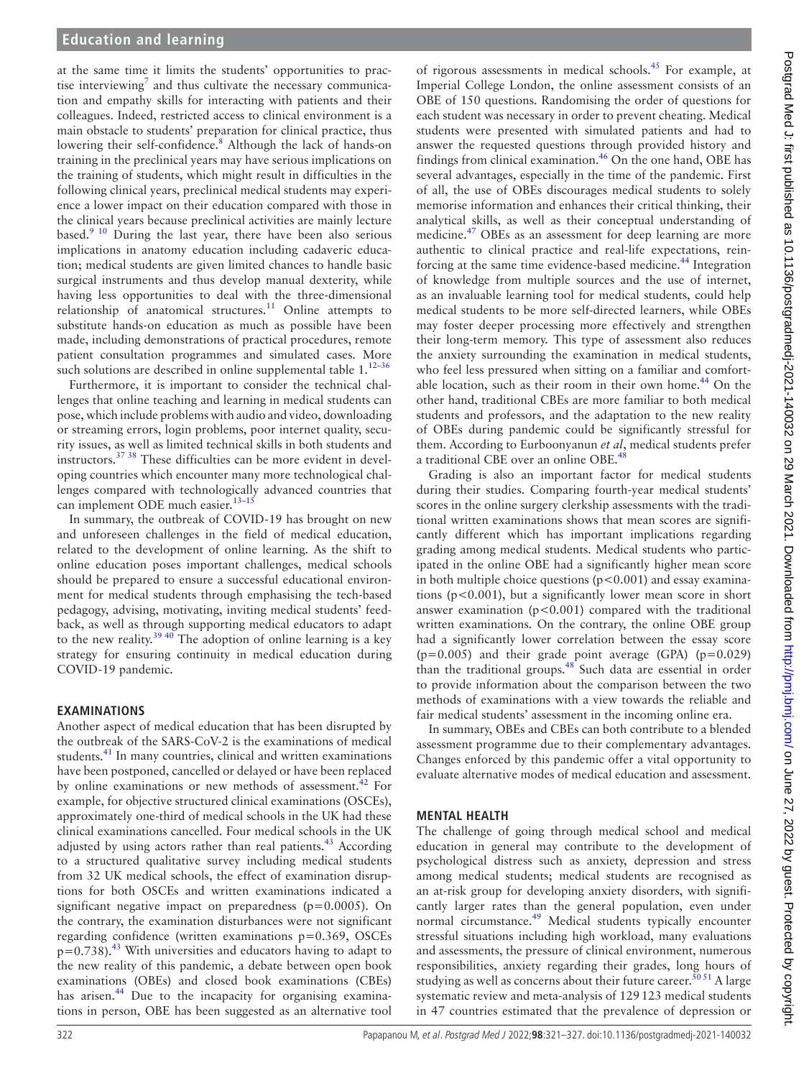at the same time it limits the students' opportunities to prac-tise interviewing<sup>[7](#page-5-5)</sup> and thus cultivate the necessary communication and empathy skills for interacting with patients and their colleagues. Indeed, restricted access to clinical environment is a main obstacle to students' preparation for clinical practice, thus lowering their self-confidence.<sup>8</sup> Although the lack of hands-on training in the preclinical years may have serious implications on the training of students, which might result in difficulties in the following clinical years, preclinical medical students may experience a lower impact on their education compared with those in the clinical years because preclinical activities are mainly lecture based.<sup>9 10</sup> During the last year, there have been also serious implications in anatomy education including cadaveric education; medical students are given limited chances to handle basic surgical instruments and thus develop manual dexterity, while having less opportunities to deal with the three-dimensional relationship of anatomical structures.<sup>11</sup> Online attempts to substitute hands-on education as much as possible have been made, including demonstrations of practical procedures, remote patient consultation programmes and simulated cases. More such solutions are described in online supplemental table  $1.^{12-36}$ 

Furthermore, it is important to consider the technical challenges that online teaching and learning in medical students can pose, which include problems with audio and video, downloading or streaming errors, login problems, poor internet quality, security issues, as well as limited technical skills in both students and instructors.[37 38](#page-5-10) These difficulties can be more evident in developing countries which encounter many more technological challenges compared with technologically advanced countries that can implement ODE much easier.<sup>13-15</sup>

In summary, the outbreak of COVID-19 has brought on new and unforeseen challenges in the field of medical education, related to the development of online learning. As the shift to online education poses important challenges, medical schools should be prepared to ensure a successful educational environment for medical students through emphasising the tech-based pedagogy, advising, motivating, inviting medical students' feedback, as well as through supporting medical educators to adapt to the new reality.<sup>39 40</sup> The adoption of online learning is a key strategy for ensuring continuity in medical education during COVID-19 pandemic.

## **EXAMINATIONS**

Another aspect of medical education that has been disrupted by the outbreak of the SARS-CoV-2 is the examinations of medical students.<sup>41</sup> In many countries, clinical and written examinations have been postponed, cancelled or delayed or have been replaced by online examinations or new methods of assessment.<sup>[42](#page-5-14)</sup> For example, for objective structured clinical examinations (OSCEs), approximately one-third of medical schools in the UK had these clinical examinations cancelled. Four medical schools in the UK adjusted by using actors rather than real patients. $43$  According to a structured qualitative survey including medical students from 32 UK medical schools, the effect of examination disruptions for both OSCEs and written examinations indicated a significant negative impact on preparedness (p=0.0005). On the contrary, the examination disturbances were not significant regarding confidence (written examinations p=0.369, OSCEs  $p=0.738$ ).<sup>[43](#page-5-15)</sup> With universities and educators having to adapt to the new reality of this pandemic, a debate between open book examinations (OBEs) and closed book examinations (CBEs) has arisen.<sup>[44](#page-5-16)</sup> Due to the incapacity for organising examinations in person, OBE has been suggested as an alternative tool

of rigorous assessments in medical schools.[45](#page-5-17) For example, at Imperial College London, the online assessment consists of an OBE of 150 questions. Randomising the order of questions for each student was necessary in order to prevent cheating. Medical students were presented with simulated patients and had to answer the requested questions through provided history and findings from clinical examination.<sup>46</sup> On the one hand, OBE has several advantages, especially in the time of the pandemic. First of all, the use of OBEs discourages medical students to solely memorise information and enhances their critical thinking, their analytical skills, as well as their conceptual understanding of medicine.<sup>47</sup> OBEs as an assessment for deep learning are more authentic to clinical practice and real-life expectations, reinforcing at the same time evidence-based medicine.<sup>44</sup> Integration of knowledge from multiple sources and the use of internet, as an invaluable learning tool for medical students, could help medical students to be more self-directed learners, while OBEs may foster deeper processing more effectively and strengthen their long-term memory. This type of assessment also reduces the anxiety surrounding the examination in medical students, who feel less pressured when sitting on a familiar and comfort-able location, such as their room in their own home.<sup>[44](#page-5-16)</sup> On the other hand, traditional CBEs are more familiar to both medical students and professors, and the adaptation to the new reality of OBEs during pandemic could be significantly stressful for them. According to Eurboonyanun *et al*, medical students prefer a traditional CBE over an online OBE.<sup>48</sup>

Grading is also an important factor for medical students during their studies. Comparing fourth-year medical students' scores in the online surgery clerkship assessments with the traditional written examinations shows that mean scores are significantly different which has important implications regarding grading among medical students. Medical students who participated in the online OBE had a significantly higher mean score in both multiple choice questions  $(p<0.001)$  and essay examinations (p<0.001), but a significantly lower mean score in short answer examination  $(p<0.001)$  compared with the traditional written examinations. On the contrary, the online OBE group had a significantly lower correlation between the essay score  $(p=0.005)$  and their grade point average (GPA)  $(p=0.029)$ than the traditional groups.<sup>[48](#page-5-20)</sup> Such data are essential in order to provide information about the comparison between the two methods of examinations with a view towards the reliable and fair medical students' assessment in the incoming online era.

In summary, OBEs and CBEs can both contribute to a blended assessment programme due to their complementary advantages. Changes enforced by this pandemic offer a vital opportunity to evaluate alternative modes of medical education and assessment.

### **MENTAL HEALTH**

The challenge of going through medical school and medical education in general may contribute to the development of psychological distress such as anxiety, depression and stress among medical students; medical students are recognised as an at-risk group for developing anxiety disorders, with significantly larger rates than the general population, even under normal circumstance.<sup>49</sup> Medical students typically encounter stressful situations including high workload, many evaluations and assessments, the pressure of clinical environment, numerous responsibilities, anxiety regarding their grades, long hours of studying as well as concerns about their future career.<sup> $50 51$ </sup> A large systematic review and meta-analysis of 129123 medical students in 47 countries estimated that the prevalence of depression or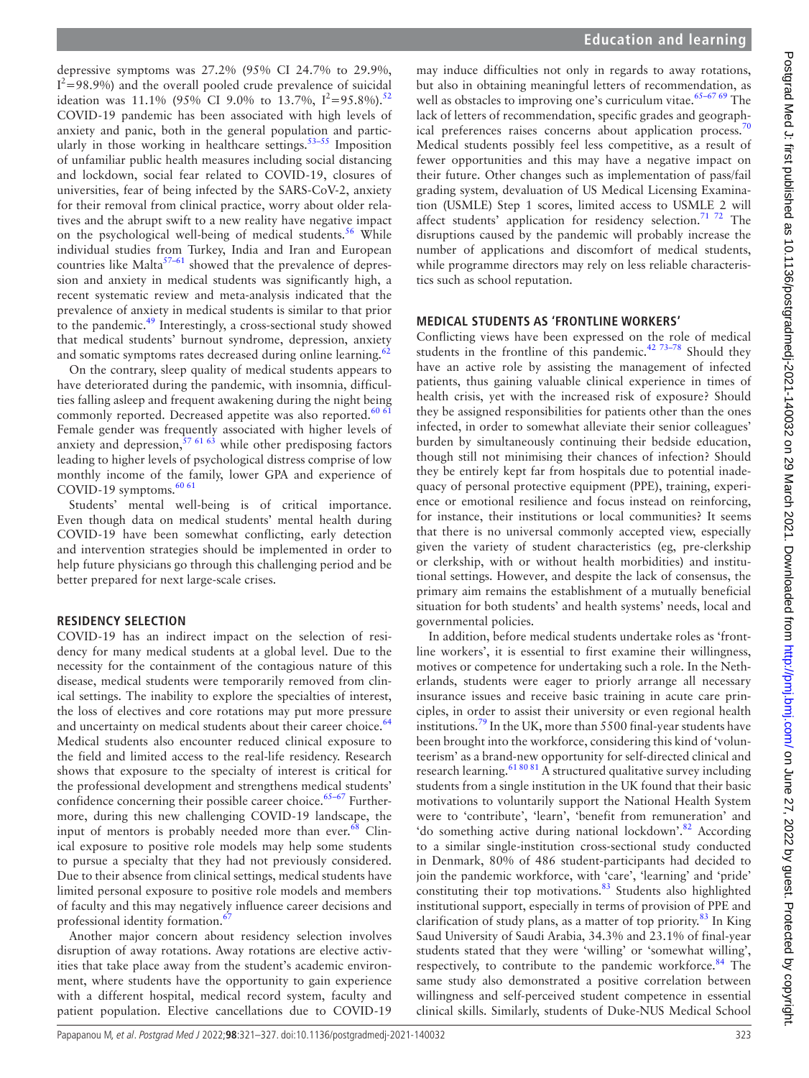depressive symptoms was 27.2% (95% CI 24.7% to 29.9%,  $I^2$ =98.9%) and the overall pooled crude prevalence of suicidal ideation was 11.1% (95% CI 9.0% to 13.7%,  $I^2 = 95.8\%$ ).<sup>[52](#page-5-23)</sup> COVID-19 pandemic has been associated with high levels of anxiety and panic, both in the general population and particularly in those working in healthcare settings.<sup>53-55</sup> Imposition of unfamiliar public health measures including social distancing and lockdown, social fear related to COVID-19, closures of universities, fear of being infected by the SARS-CoV-2, anxiety for their removal from clinical practice, worry about older relatives and the abrupt swift to a new reality have negative impact on the psychological well-being of medical students.<sup>[56](#page-6-0)</sup> While individual studies from Turkey, India and Iran and European countries like Malta $57-61$  showed that the prevalence of depression and anxiety in medical students was significantly high, a recent systematic review and meta-analysis indicated that the prevalence of anxiety in medical students is similar to that prior to the pandemic.[49](#page-5-21) Interestingly, a cross-sectional study showed that medical students' burnout syndrome, depression, anxiety and somatic symptoms rates decreased during online learning.<sup>62</sup>

On the contrary, sleep quality of medical students appears to have deteriorated during the pandemic, with insomnia, difficulties falling asleep and frequent awakening during the night being commonly reported. Decreased appetite was also reported.<sup>60</sup> Female gender was frequently associated with higher levels of anxiety and depression,  $57 61 63$  while other predisposing factors leading to higher levels of psychological distress comprise of low monthly income of the family, lower GPA and experience of COVID-19 symptoms. $60\,61$ 

Students' mental well-being is of critical importance. Even though data on medical students' mental health during COVID-19 have been somewhat conflicting, early detection and intervention strategies should be implemented in order to help future physicians go through this challenging period and be better prepared for next large-scale crises.

## **RESIDENCY SELECTION**

COVID-19 has an indirect impact on the selection of residency for many medical students at a global level. Due to the necessity for the containment of the contagious nature of this disease, medical students were temporarily removed from clinical settings. The inability to explore the specialties of interest, the loss of electives and core rotations may put more pressure and uncertainty on medical students about their career choice.<sup>[64](#page-6-4)</sup> Medical students also encounter reduced clinical exposure to the field and limited access to the real-life residency. Research shows that exposure to the specialty of interest is critical for the professional development and strengthens medical students' confidence concerning their possible career choice.<sup>65-67</sup> Furthermore, during this new challenging COVID-19 landscape, the input of mentors is probably needed more than ever. $68$  Clinical exposure to positive role models may help some students to pursue a specialty that they had not previously considered. Due to their absence from clinical settings, medical students have limited personal exposure to positive role models and members of faculty and this may negatively influence career decisions and professional identity formation.<sup>6</sup>

Another major concern about residency selection involves disruption of away rotations. Away rotations are elective activities that take place away from the student's academic environment, where students have the opportunity to gain experience with a different hospital, medical record system, faculty and patient population. Elective cancellations due to COVID-19

may induce difficulties not only in regards to away rotations, but also in obtaining meaningful letters of recommendation, as well as obstacles to improving one's curriculum vitae. $65-6769$  The lack of letters of recommendation, specific grades and geograph-ical preferences raises concerns about application process.<sup>[70](#page-6-8)</sup> Medical students possibly feel less competitive, as a result of fewer opportunities and this may have a negative impact on their future. Other changes such as implementation of pass/fail grading system, devaluation of US Medical Licensing Examination (USMLE) Step 1 scores, limited access to USMLE 2 will affect students' application for residency selection.<sup>71 72</sup> The disruptions caused by the pandemic will probably increase the number of applications and discomfort of medical students, while programme directors may rely on less reliable characteristics such as school reputation.

## **MEDICAL STUDENTS AS 'FRONTLINE WORKERS'**

Conflicting views have been expressed on the role of medical students in the frontline of this pandemic.<sup>42 73-78</sup> Should they have an active role by assisting the management of infected patients, thus gaining valuable clinical experience in times of health crisis, yet with the increased risk of exposure? Should they be assigned responsibilities for patients other than the ones infected, in order to somewhat alleviate their senior colleagues' burden by simultaneously continuing their bedside education, though still not minimising their chances of infection? Should they be entirely kept far from hospitals due to potential inadequacy of personal protective equipment (PPE), training, experience or emotional resilience and focus instead on reinforcing, for instance, their institutions or local communities? It seems that there is no universal commonly accepted view, especially given the variety of student characteristics (eg, pre-clerkship or clerkship, with or without health morbidities) and institutional settings. However, and despite the lack of consensus, the primary aim remains the establishment of a mutually beneficial situation for both students' and health systems' needs, local and governmental policies.

In addition, before medical students undertake roles as 'frontline workers', it is essential to first examine their willingness, motives or competence for undertaking such a role. In the Netherlands, students were eager to priorly arrange all necessary insurance issues and receive basic training in acute care principles, in order to assist their university or even regional health institutions.[79](#page-6-10) In the UK, more than 5500 final-year students have been brought into the workforce, considering this kind of 'volunteerism' as a brand-new opportunity for self-directed clinical and research learning.<sup>61 80 81</sup> A structured qualitative survey including students from a single institution in the UK found that their basic motivations to voluntarily support the National Health System were to 'contribute', 'learn', 'benefit from remuneration' and 'do something active during national lockdown'.<sup>82</sup> According to a similar single-institution cross-sectional study conducted in Denmark, 80% of 486 student-participants had decided to join the pandemic workforce, with 'care', 'learning' and 'pride' constituting their top motivations.<sup>83</sup> Students also highlighted institutional support, especially in terms of provision of PPE and clarification of study plans, as a matter of top priority. $83$  In King Saud University of Saudi Arabia, 34.3% and 23.1% of final-year students stated that they were 'willing' or 'somewhat willing', respectively, to contribute to the pandemic workforce.<sup>84</sup> The same study also demonstrated a positive correlation between willingness and self-perceived student competence in essential clinical skills. Similarly, students of Duke-NUS Medical School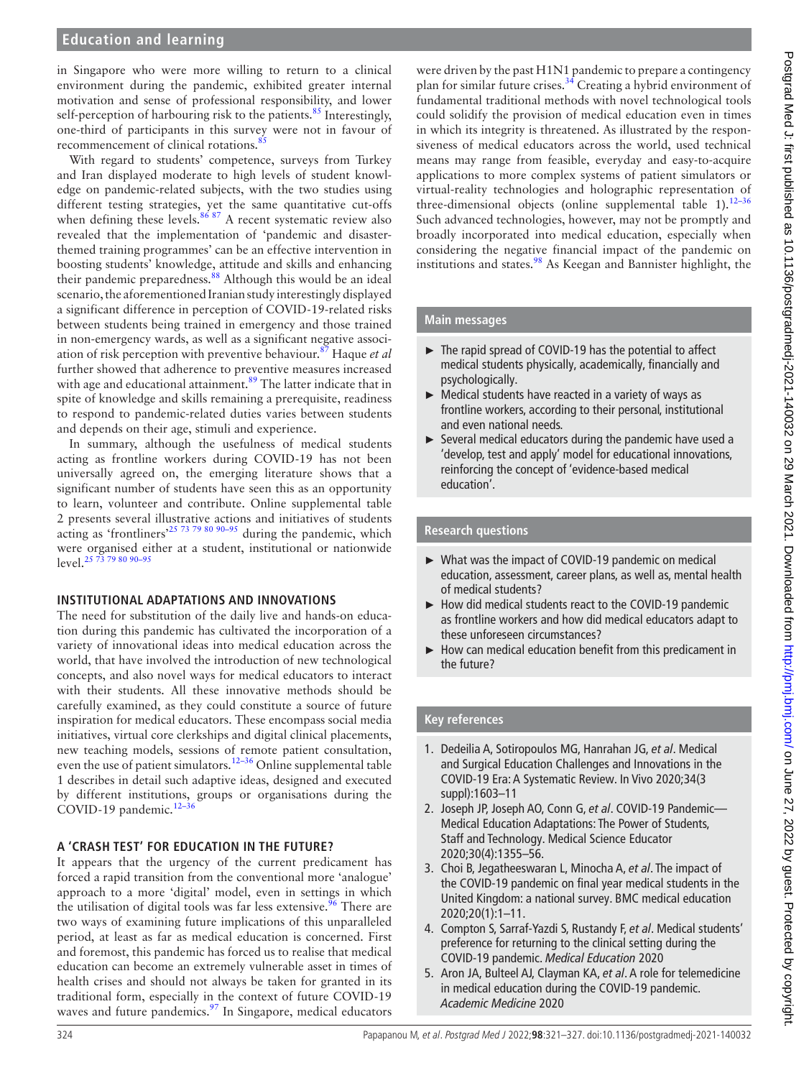in Singapore who were more willing to return to a clinical environment during the pandemic, exhibited greater internal motivation and sense of professional responsibility, and lower self-perception of harbouring risk to the patients. $85$  Interestingly, one-third of participants in this survey were not in favour of recommencement of clinical rotations.<sup>8</sup>

With regard to students' competence, surveys from Turkey and Iran displayed moderate to high levels of student knowledge on pandemic-related subjects, with the two studies using different testing strategies, yet the same quantitative cut-offs when defining these levels. $8687$  A recent systematic review also revealed that the implementation of 'pandemic and disasterthemed training programmes' can be an effective intervention in boosting students' knowledge, attitude and skills and enhancing their pandemic preparedness.<sup>[88](#page-6-17)</sup> Although this would be an ideal scenario, the aforementioned Iranian study interestingly displayed a significant difference in perception of COVID-19-related risks between students being trained in emergency and those trained in non-emergency wards, as well as a significant negative association of risk perception with preventive behaviour.[87](#page-6-18) Haque *et al* further showed that adherence to preventive measures increased with age and educational attainment.<sup>89</sup> The latter indicate that in spite of knowledge and skills remaining a prerequisite, readiness to respond to pandemic-related duties varies between students and depends on their age, stimuli and experience.

In summary, although the usefulness of medical students acting as frontline workers during COVID-19 has not been universally agreed on, the emerging literature shows that a significant number of students have seen this as an opportunity to learn, volunteer and contribute. [Online supplemental table](https://dx.doi.org/10.1136/postgradmedj-2021-140032)  [2](https://dx.doi.org/10.1136/postgradmedj-2021-140032) presents several illustrative actions and initiatives of students acting as 'frontliners'<sup>25 73 79</sup> 80 90–95 during the pandemic, which were organised either at a student, institutional or nationwide<br>layel  $\frac{2573798090-95}{x}$ level. $25$ 

### **INSTITUTIONAL ADAPTATIONS AND INNOVATIONS**

The need for substitution of the daily live and hands-on education during this pandemic has cultivated the incorporation of a variety of innovational ideas into medical education across the world, that have involved the introduction of new technological concepts, and also novel ways for medical educators to interact with their students. All these innovative methods should be carefully examined, as they could constitute a source of future inspiration for medical educators. These encompass social media initiatives, virtual core clerkships and digital clinical placements, new teaching models, sessions of remote patient consultation, even the use of patient simulators.<sup>[12–36](#page-5-9)</sup> Online supplemental table [1](https://dx.doi.org/10.1136/postgradmedj-2021-140032) describes in detail such adaptive ideas, designed and executed by different institutions, groups or organisations during the COVID-19 pandemic. $12-3$ 

### **A 'CRASH TEST' FOR EDUCATION IN THE FUTURE?**

It appears that the urgency of the current predicament has forced a rapid transition from the conventional more 'analogue' approach to a more 'digital' model, even in settings in which the utilisation of digital tools was far less extensive.<sup>[96](#page-6-20)</sup> There are two ways of examining future implications of this unparalleled period, at least as far as medical education is concerned. First and foremost, this pandemic has forced us to realise that medical education can become an extremely vulnerable asset in times of health crises and should not always be taken for granted in its traditional form, especially in the context of future COVID-19 waves and future pandemics.<sup>[97](#page-6-21)</sup> In Singapore, medical educators

were driven by the past H1N1 pandemic to prepare a contingency plan for similar future crises[.34](#page-5-26) Creating a hybrid environment of fundamental traditional methods with novel technological tools could solidify the provision of medical education even in times in which its integrity is threatened. As illustrated by the responsiveness of medical educators across the world, used technical means may range from feasible, everyday and easy-to-acquire applications to more complex systems of patient simulators or virtual-reality technologies and holographic representation of three-dimensional objects [\(online supplemental table 1\)](https://dx.doi.org/10.1136/postgradmedj-2021-140032).<sup>12–36</sup> Such advanced technologies, however, may not be promptly and broadly incorporated into medical education, especially when considering the negative financial impact of the pandemic on institutions and states.<sup>98</sup> As Keegan and Bannister highlight, the

## **Main messages**

- ► The rapid spread of COVID-19 has the potential to affect medical students physically, academically, financially and psychologically.
- ► Medical students have reacted in a variety of ways as frontline workers, according to their personal, institutional and even national needs.
- Several medical educators during the pandemic have used a 'develop, test and apply' model for educational innovations, reinforcing the concept of 'evidence-based medical education'.

## **Research questions**

- ► What was the impact of COVID-19 pandemic on medical education, assessment, career plans, as well as, mental health of medical students?
- ► How did medical students react to the COVID-19 pandemic as frontline workers and how did medical educators adapt to these unforeseen circumstances?
- ► How can medical education benefit from this predicament in the future?

# **Key references**

- 1. Dedeilia A, Sotiropoulos MG, Hanrahan JG, *et al*. Medical and Surgical Education Challenges and Innovations in the COVID-19 Era: A Systematic Review. In Vivo 2020;34(3 suppl):1603–11
- 2. Joseph JP, Joseph AO, Conn G, *et al*. COVID-19 Pandemic— Medical Education Adaptations: The Power of Students, Staff and Technology. Medical Science Educator 2020;30(4):1355–56.
- 3. Choi B, Jegatheeswaran L, Minocha A, *et al*. The impact of the COVID-19 pandemic on final year medical students in the United Kingdom: a national survey. BMC medical education 2020;20(1):1–11.
- 4. Compton S, Sarraf-Yazdi S, Rustandy F, *et al*. Medical students' preference for returning to the clinical setting during the COVID-19 pandemic. *Medical Education* 2020
- 5. Aron JA, Bulteel AJ, Clayman KA, *et al*. A role for telemedicine in medical education during the COVID-19 pandemic. *Academic Medicine* 2020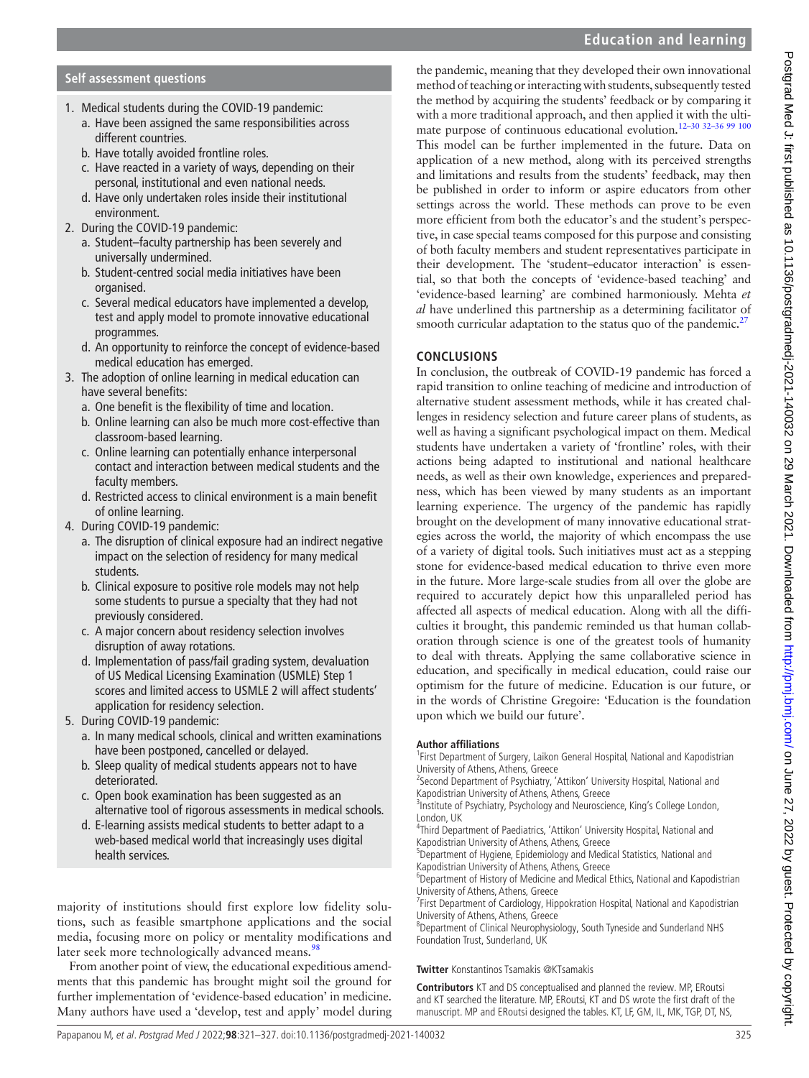### **Self assessment questions**

- 1. Medical students during the COVID-19 pandemic:
	- a. Have been assigned the same responsibilities across different countries.
	- b. Have totally avoided frontline roles.
	- c. Have reacted in a variety of ways, depending on their personal, institutional and even national needs.
	- d. Have only undertaken roles inside their institutional environment.
- 2. During the COVID-19 pandemic:
	- a. Student–faculty partnership has been severely and universally undermined.
	- b. Student-centred social media initiatives have been organised.
	- c. Several medical educators have implemented a develop, test and apply model to promote innovative educational programmes.
	- d. An opportunity to reinforce the concept of evidence-based medical education has emerged.
- 3. The adoption of online learning in medical education can have several benefits:
	- a. One benefit is the flexibility of time and location.
	- b. Online learning can also be much more cost-effective than classroom-based learning.
	- c. Online learning can potentially enhance interpersonal contact and interaction between medical students and the faculty members.
	- d. Restricted access to clinical environment is a main benefit of online learning.
- 4. During COVID-19 pandemic:
	- a. The disruption of clinical exposure had an indirect negative impact on the selection of residency for many medical students.
	- b. Clinical exposure to positive role models may not help some students to pursue a specialty that they had not previously considered.
	- c. A major concern about residency selection involves disruption of away rotations.
	- d. Implementation of pass/fail grading system, devaluation of US Medical Licensing Examination (USMLE) Step 1 scores and limited access to USMLE 2 will affect students' application for residency selection.
- 5. During COVID-19 pandemic:
	- a. In many medical schools, clinical and written examinations have been postponed, cancelled or delayed.
	- b. Sleep quality of medical students appears not to have deteriorated.
	- c. Open book examination has been suggested as an alternative tool of rigorous assessments in medical schools.
	- d. E-learning assists medical students to better adapt to a web-based medical world that increasingly uses digital health services.

majority of institutions should first explore low fidelity solutions, such as feasible smartphone applications and the social media, focusing more on policy or mentality modifications and later seek more technologically advanced means.<sup>98</sup>

From another point of view, the educational expeditious amendments that this pandemic has brought might soil the ground for further implementation of 'evidence-based education' in medicine. Many authors have used a 'develop, test and apply' model during

the pandemic, meaning that they developed their own innovational method of teaching or interacting with students, subsequently tested the method by acquiring the students' feedback or by comparing it with a more traditional approach, and then applied it with the ultimate purpose of continuous educational evolution[.12–30 32–36 99 100](#page-5-9) This model can be further implemented in the future. Data on application of a new method, along with its perceived strengths and limitations and results from the students' feedback, may then be published in order to inform or aspire educators from other settings across the world. These methods can prove to be even more efficient from both the educator's and the student's perspective, in case special teams composed for this purpose and consisting of both faculty members and student representatives participate in

their development. The 'student–educator interaction' is essential, so that both the concepts of 'evidence-based teaching' and 'evidence-based learning' are combined harmoniously. Mehta *et al* have underlined this partnership as a determining facilitator of smooth curricular adaptation to the status quo of the pandemic.<sup>[27](#page-5-27)</sup>

## **CONCLUSIONS**

In conclusion, the outbreak of COVID-19 pandemic has forced a rapid transition to online teaching of medicine and introduction of alternative student assessment methods, while it has created challenges in residency selection and future career plans of students, as well as having a significant psychological impact on them. Medical students have undertaken a variety of 'frontline' roles, with their actions being adapted to institutional and national healthcare needs, as well as their own knowledge, experiences and preparedness, which has been viewed by many students as an important learning experience. The urgency of the pandemic has rapidly brought on the development of many innovative educational strategies across the world, the majority of which encompass the use of a variety of digital tools. Such initiatives must act as a stepping stone for evidence-based medical education to thrive even more in the future. More large-scale studies from all over the globe are required to accurately depict how this unparalleled period has affected all aspects of medical education. Along with all the difficulties it brought, this pandemic reminded us that human collaboration through science is one of the greatest tools of humanity to deal with threats. Applying the same collaborative science in education, and specifically in medical education, could raise our optimism for the future of medicine. Education is our future, or in the words of Christine Gregoire: 'Education is the foundation upon which we build our future'.

### **Author affiliations**

<sup>1</sup>First Department of Surgery, Laikon General Hospital, National and Kapodistrian University of Athens, Athens, Greece

<sup>2</sup>Second Department of Psychiatry, 'Attikon' University Hospital, National and Kapodistrian University of Athens, Athens, Greece

<sup>3</sup>Institute of Psychiatry, Psychology and Neuroscience, King's College London, London, UK

4 Third Department of Paediatrics, 'Attikon' University Hospital, National and Kapodistrian University of Athens, Athens, Greece

<sup>5</sup>Department of Hygiene, Epidemiology and Medical Statistics, National and Kapodistrian University of Athens, Athens, Greece

<sup>6</sup>Department of History of Medicine and Medical Ethics, National and Kapodistrian University of Athens, Athens, Greece

<sup>7</sup> First Department of Cardiology, Hippokration Hospital, National and Kapodistrian University of Athens, Athens, Greece

<sup>8</sup>Department of Clinical Neurophysiology, South Tyneside and Sunderland NHS Foundation Trust, Sunderland, UK

### **Twitter** Konstantinos Tsamakis [@KTsamakis](https://twitter.com/KTsamakis)

**Contributors** KT and DS conceptualised and planned the review. MP, ERoutsi and KT searched the literature. MP, ERoutsi, KT and DS wrote the first draft of the manuscript. MP and ERoutsi designed the tables. KT, LF, GM, IL, MK, TGP, DT, NS,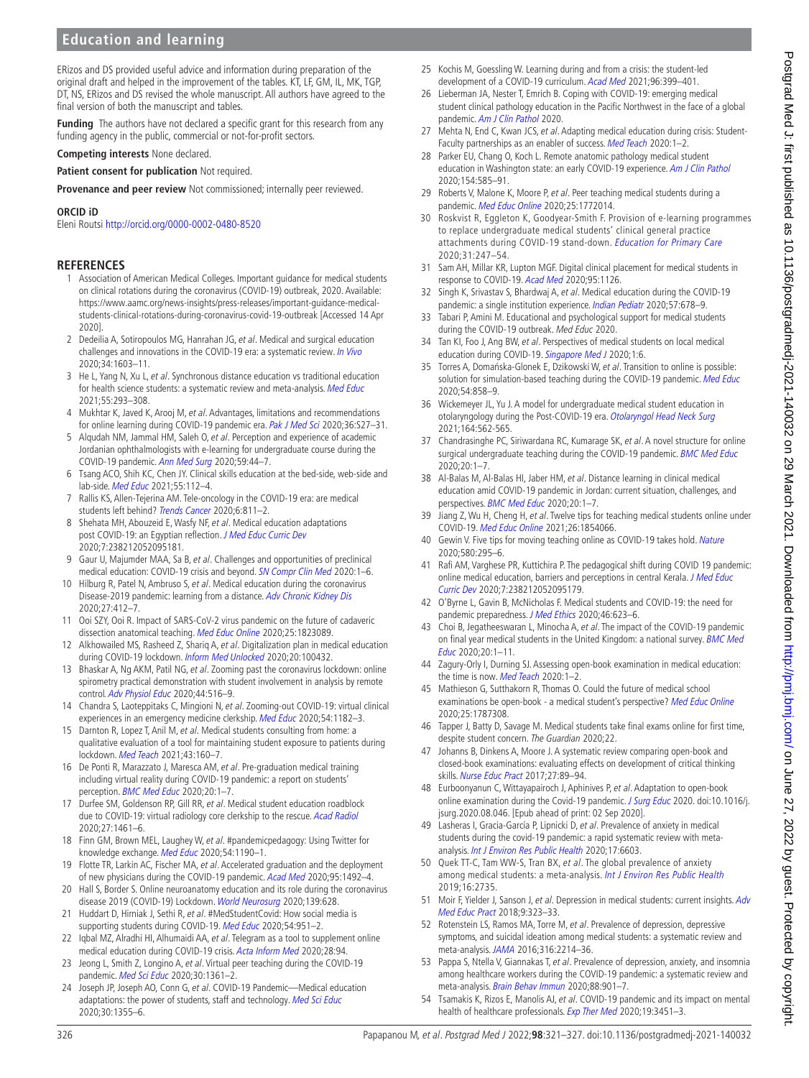ERizos and DS provided useful advice and information during preparation of the original draft and helped in the improvement of the tables. KT, LF, GM, IL, MK, TGP, DT, NS, ERizos and DS revised the whole manuscript. All authors have agreed to the final version of both the manuscript and tables.

**Funding** The authors have not declared a specific grant for this research from any funding agency in the public, commercial or not-for-profit sectors.

**Competing interests** None declared.

**Patient consent for publication** Not required.

**Provenance and peer review** Not commissioned; internally peer reviewed.

#### **ORCID iD**

Eleni Routsi <http://orcid.org/0000-0002-0480-8520>

#### **REFERENCES**

- <span id="page-5-0"></span>1 Association of American Medical Colleges. Important guidance for medical students on clinical rotations during the coronavirus (COVID-19) outbreak, 2020. Available: [https://www.aamc.org/news-insights/press-releases/important-guidance-medical](https://www.aamc.org/news-insights/press-releases/important-guidance-medical-students-clinical-rotations-during-coronavirus-covid-19-outbreak)[students-clinical-rotations-during-coronavirus-covid-19-outbreak](https://www.aamc.org/news-insights/press-releases/important-guidance-medical-students-clinical-rotations-during-coronavirus-covid-19-outbreak) [Accessed 14 Apr 2020].
- <span id="page-5-1"></span>2 Dedeilia A, Sotiropoulos MG, Hanrahan JG, et al. Medical and surgical education challenges and innovations in the COVID-19 era: a systematic review. [In Vivo](http://dx.doi.org/10.21873/invivo.11950) 2020;34:1603–11.
- <span id="page-5-2"></span>3 He L, Yang N, Xu L, et al. Synchronous distance education vs traditional education for health science students: a systematic review and meta-analysis. [Med Educ](http://dx.doi.org/10.1111/medu.14364) 2021;55:293–308.
- <span id="page-5-3"></span>4 Mukhtar K, Javed K, Arooj M, et al. Advantages, limitations and recommendations for online learning during COVID-19 pandemic era. [Pak J Med Sci](http://dx.doi.org/10.12669/pjms.36.COVID19-S4.2785) 2020;36:S27-31.
- 5 Alqudah NM, Jammal HM, Saleh O, et al. Perception and experience of academic Jordanian ophthalmologists with e-learning for undergraduate course during the COVID-19 pandemic. [Ann Med Surg](http://dx.doi.org/10.1016/j.amsu.2020.09.014) 2020;59:44–7.
- <span id="page-5-4"></span>6 Tsang ACO, Shih KC, Chen JY. Clinical skills education at the bed-side, web-side and lab-side. [Med Educ](http://dx.doi.org/10.1111/medu.14394) 2021;55:112–4.
- <span id="page-5-5"></span>7 Rallis KS, Allen-Tejerina AM. Tele-oncology in the COVID-19 era: are medical students left behind? [Trends Cancer](http://dx.doi.org/10.1016/j.trecan.2020.08.001) 2020;6:811-2.
- <span id="page-5-6"></span>8 Shehata MH, Abouzeid E, Wasfy NF, et al. Medical education adaptations post COVID-19: an Egyptian reflection. [J Med Educ Curric Dev](http://dx.doi.org/10.1177/2382120520951819) 2020;7:238212052095181.
- <span id="page-5-7"></span>9 Gaur U, Majumder MAA, Sa B, et al. Challenges and opportunities of preclinical medical education: COVID-19 crisis and beyond. **[SN Compr Clin Med](http://dx.doi.org/10.1007/s42399-020-00528-1) 2020:1-6.**
- 10 Hilburg R, Patel N, Ambruso S, et al. Medical education during the coronavirus Disease-2019 pandemic: learning from a distance. [Adv Chronic Kidney Dis](http://dx.doi.org/10.1053/j.ackd.2020.05.017) 2020;27:412–7.
- <span id="page-5-8"></span>11 Ooi SZY, Ooi R. Impact of SARS-CoV-2 virus pandemic on the future of cadaveric dissection anatomical teaching. [Med Educ Online](http://dx.doi.org/10.1080/10872981.2020.1823089) 2020;25:1823089.
- <span id="page-5-9"></span>12 Alkhowailed MS, Rasheed Z, Shariq A, et al. Digitalization plan in medical education during COVID-19 lockdown. [Inform Med Unlocked](http://dx.doi.org/10.1016/j.imu.2020.100432) 2020;20:100432.
- <span id="page-5-11"></span>13 Bhaskar A, Ng AKM, Patil NG, et al. Zooming past the coronavirus lockdown: online spirometry practical demonstration with student involvement in analysis by remote control. [Adv Physiol Educ](http://dx.doi.org/10.1152/advan.00097.2020) 2020;44:516–9.
- 14 Chandra S, Laoteppitaks C, Mingioni N, et al. Zooming-out COVID-19: virtual clinical experiences in an emergency medicine clerkship. [Med Educ](http://dx.doi.org/10.1111/medu.14266) 2020;54:1182-3.
- 15 Darnton R, Lopez T, Anil M, et al. Medical students consulting from home: a qualitative evaluation of a tool for maintaining student exposure to patients during lockdown. [Med Teach](http://dx.doi.org/10.1080/0142159X.2020.1829576) 2021;43:160–7.
- 16 De Ponti R, Marazzato J, Maresca AM, et al. Pre-graduation medical training including virtual reality during COVID-19 pandemic: a report on students' perception. [BMC Med Educ](http://dx.doi.org/10.1186/s12909-020-02245-8) 2020;20:1–7.
- 17 Durfee SM, Goldenson RP, Gill RR, et al. Medical student education roadblock due to COVID-19: virtual radiology core clerkship to the rescue. [Acad Radiol](http://dx.doi.org/10.1016/j.acra.2020.07.020) 2020;27:1461–6.
- 18 Finn GM, Brown MEL, Laughey W, et al. #pandemicpedagogy: Using Twitter for knowledge exchange. [Med Educ](http://dx.doi.org/10.1111/medu.14242) 2020;54:1190–1.
- 19 Flotte TR, Larkin AC, Fischer MA, et al. Accelerated graduation and the deployment of new physicians during the COVID-19 pandemic. [Acad Med](http://dx.doi.org/10.1097/ACM.0000000000003540) 2020;95:1492-4.
- 20 Hall S, Border S. Online neuroanatomy education and its role during the coronavirus disease 2019 (COVID-19) Lockdown. [World Neurosurg](http://dx.doi.org/10.1016/j.wneu.2020.05.001) 2020;139:628.
- 21 Huddart D, Hirniak J, Sethi R, et al. #MedStudentCovid: How social media is supporting students during COVID-19. [Med Educ](http://dx.doi.org/10.1111/medu.14215) 2020;54:951-2.
- 22 Iqbal MZ, Alradhi HI, Alhumaidi AA, et al. Telegram as a tool to supplement online medical education during COVID-19 crisis. [Acta Inform Med](http://dx.doi.org/10.5455/aim.2020.28.94-97) 2020;28:94.
- 23 Jeong L, Smith Z, Longino A, et al. Virtual peer teaching during the COVID-19 pandemic. [Med Sci Educ](http://dx.doi.org/10.1007/s40670-020-01065-1) 2020;30:1361-2.
- Joseph JP, Joseph AO, Conn G, et al. COVID-19 Pandemic-Medical education adaptations: the power of students, staff and technology. [Med Sci Educ](http://dx.doi.org/10.1007/s40670-020-01038-4) 2020;30:1355–6.
- <span id="page-5-25"></span>25 Kochis M, Goessling W. Learning during and from a crisis: the student-led development of a COVID-19 curriculum. [Acad Med](http://dx.doi.org/10.1097/ACM.0000000000003755) 2021;96:399–401.
- 26 Lieberman JA, Nester T, Emrich B. Coping with COVID-19: emerging medical student clinical pathology education in the Pacific Northwest in the face of a global pandemic. [Am J Clin Pathol](http://dx.doi.org/10.1093/AJCP/AQAA152) 2020.
- <span id="page-5-27"></span>27 Mehta N, End C, Kwan JCS, et al. Adapting medical education during crisis: Student-Faculty partnerships as an enabler of success. [Med Teach](http://dx.doi.org/10.1080/0142159X.2020.1811215) 2020:1-2.
- 28 Parker EU, Chang O, Koch L. Remote anatomic pathology medical student education in Washington state: an early COVID-19 experience. [Am J Clin Pathol](http://dx.doi.org/10.1093/ajcp/aqaa154) 2020;154:585–91.
- 29 Roberts V, Malone K, Moore P, et al. Peer teaching medical students during a pandemic. [Med Educ Online](http://dx.doi.org/10.1080/10872981.2020.1772014) 2020;25:1772014.
- 30 Roskvist R, Eggleton K, Goodyear-Smith F. Provision of e-learning programmes to replace undergraduate medical students' clinical general practice attachments during COVID-19 stand-down. [Education for Primary Care](http://dx.doi.org/10.1080/14739879.2020.1772123) 2020;31:247–54.
- 31 Sam AH, Millar KR, Lupton MGF. Digital clinical placement for medical students in response to COVID-19. [Acad Med](http://dx.doi.org/10.1097/ACM.0000000000003431) 2020;95:1126.
- 32 Singh K, Srivastav S, Bhardwaj A, et al. Medical education during the COVID-19 pandemic: a single institution experience. [Indian Pediatr](http://dx.doi.org/10.1007/s13312-020-1899-2) 2020;57:678-9.
- 33 Tabari P, Amini M. Educational and psychological support for medical students during the COVID-19 outbreak. Med Educ 2020.
- <span id="page-5-26"></span>34 Tan KI, Foo J, Ang BW, et al. Perspectives of medical students on local medical education during COVID-19. [Singapore Med J](http://dx.doi.org/10.11622/smedj.2020105) 2020;1:6.
- 35 Torres A, Domańska-Glonek E, Dzikowski W, et al. Transition to online is possible: solution for simulation-based teaching during the COVID-19 pandemic. [Med Educ](http://dx.doi.org/10.1111/medu.14245) 2020;54:858–9.
- 36 Wickemeyer JL, Yu J. A model for undergraduate medical student education in otolaryngology during the Post-COVID-19 era. [Otolaryngol Head Neck Surg](http://dx.doi.org/10.1177/0194599820959276) 2021;164:562-565.
- <span id="page-5-10"></span>37 Chandrasinghe PC, Siriwardana RC, Kumarage SK, et al. A novel structure for online surgical undergraduate teaching during the COVID-19 pandemic. **[BMC Med Educ](http://dx.doi.org/10.1186/s12909-020-02236-9)** 2020;20:1–7.
- 38 Al-Balas M, Al-Balas HI, Jaber HM, et al. Distance learning in clinical medical education amid COVID-19 pandemic in Jordan: current situation, challenges, and perspectives. [BMC Med Educ](http://dx.doi.org/10.1186/s12909-020-02257-4) 2020;20:1-7.
- <span id="page-5-12"></span>39 Jiang Z, Wu H, Cheng H, et al. Twelve tips for teaching medical students online under COVID-19. [Med Educ Online](http://dx.doi.org/10.1080/10872981.2020.1854066) 2021;26:1854066.
- 40 Gewin V. Five tips for moving teaching online as COVID-19 takes hold. [Nature](http://dx.doi.org/10.1038/d41586-020-00896-7) 2020;580:295–6.
- <span id="page-5-13"></span>41 Rafi AM, Varghese PR, Kuttichira P. The pedagogical shift during COVID 19 pandemic: online medical education, barriers and perceptions in central Kerala. J Med Educ [Curric Dev](http://dx.doi.org/10.1177/2382120520951795) 2020;7:238212052095179.
- <span id="page-5-14"></span>42 O'Byrne L, Gavin B, McNicholas F. Medical students and COVID-19: the need for pandemic preparedness. [J Med Ethics](http://dx.doi.org/10.1136/medethics-2020-106353) 2020;46:623–6.
- <span id="page-5-15"></span>43 Choi B, Jegatheeswaran L, Minocha A, et al. The impact of the COVID-19 pandemic on final year medical students in the United Kingdom: a national survey. BMC Med [Educ](http://dx.doi.org/10.1186/s12909-020-02117-1) 2020;20:1–11.
- <span id="page-5-16"></span>44 Zagury-Orly I, Durning SJ. Assessing open-book examination in medical education: the time is now. [Med Teach](http://dx.doi.org/10.1080/0142159X.2020.1811214) 2020:1-2.
- <span id="page-5-17"></span>45 Mathieson G, Sutthakorn R, Thomas O. Could the future of medical school examinations be open-book - a medical student's perspective? [Med Educ Online](http://dx.doi.org/10.1080/10872981.2020.1787308) 2020;25:1787308.
- <span id="page-5-18"></span>46 Tapper J, Batty D, Savage M. Medical students take final exams online for first time, despite student concern. The Guardian 2020;22.
- <span id="page-5-19"></span>47 Johanns B, Dinkens A, Moore J. A systematic review comparing open-book and closed-book examinations: evaluating effects on development of critical thinking skills. [Nurse Educ Pract](http://dx.doi.org/10.1016/j.nepr.2017.08.018) 2017;27:89-94.
- <span id="page-5-20"></span>48 Eurboonyanun C, Wittayapairoch J, Aphinives P, et al. Adaptation to open-book online examination during the Covid-19 pandemic. [J Surg Educ](http://dx.doi.org/10.1016/j.jsurg.2020.08.046) 2020. doi:10.1016/j. jsurg.2020.08.046. [Epub ahead of print: 02 Sep 2020].
- <span id="page-5-21"></span>49 Lasheras I, Gracia-García P, Lipnicki D, et al. Prevalence of anxiety in medical students during the covid-19 pandemic: a rapid systematic review with meta-analysis. [Int J Environ Res Public Health](http://dx.doi.org/10.3390/ijerph17186603) 2020;17:6603.
- <span id="page-5-22"></span>50 Quek TT-C, Tam WW-S, Tran BX, et al. The global prevalence of anxiety among medical students: a meta-analysis. [Int J Environ Res Public Health](http://dx.doi.org/10.3390/ijerph16152735) 2019;16:2735.
- 51 Moir F, Yielder J, Sanson J, et al. Depression in medical students: current insights. Adv [Med Educ Pract](http://dx.doi.org/10.2147/AMEP.S137384) 2018;9:323–33.
- <span id="page-5-23"></span>52 Rotenstein LS, Ramos MA, Torre M, et al. Prevalence of depression, depressive symptoms, and suicidal ideation among medical students: a systematic review and meta-analysis. [JAMA](http://dx.doi.org/10.1001/jama.2016.17324) 2016;316:2214–36.
- <span id="page-5-24"></span>53 Pappa S, Ntella V, Giannakas T, et al. Prevalence of depression, anxiety, and insomnia among healthcare workers during the COVID-19 pandemic: a systematic review and meta-analysis. [Brain Behav Immun](http://dx.doi.org/10.1016/j.bbi.2020.05.026) 2020;88:901-7.
- 54 Tsamakis K, Rizos E, Manolis AJ, et al. COVID-19 pandemic and its impact on mental health of healthcare professionals. [Exp Ther Med](http://dx.doi.org/10.3892/etm.2020.8646) 2020;19:3451-3.